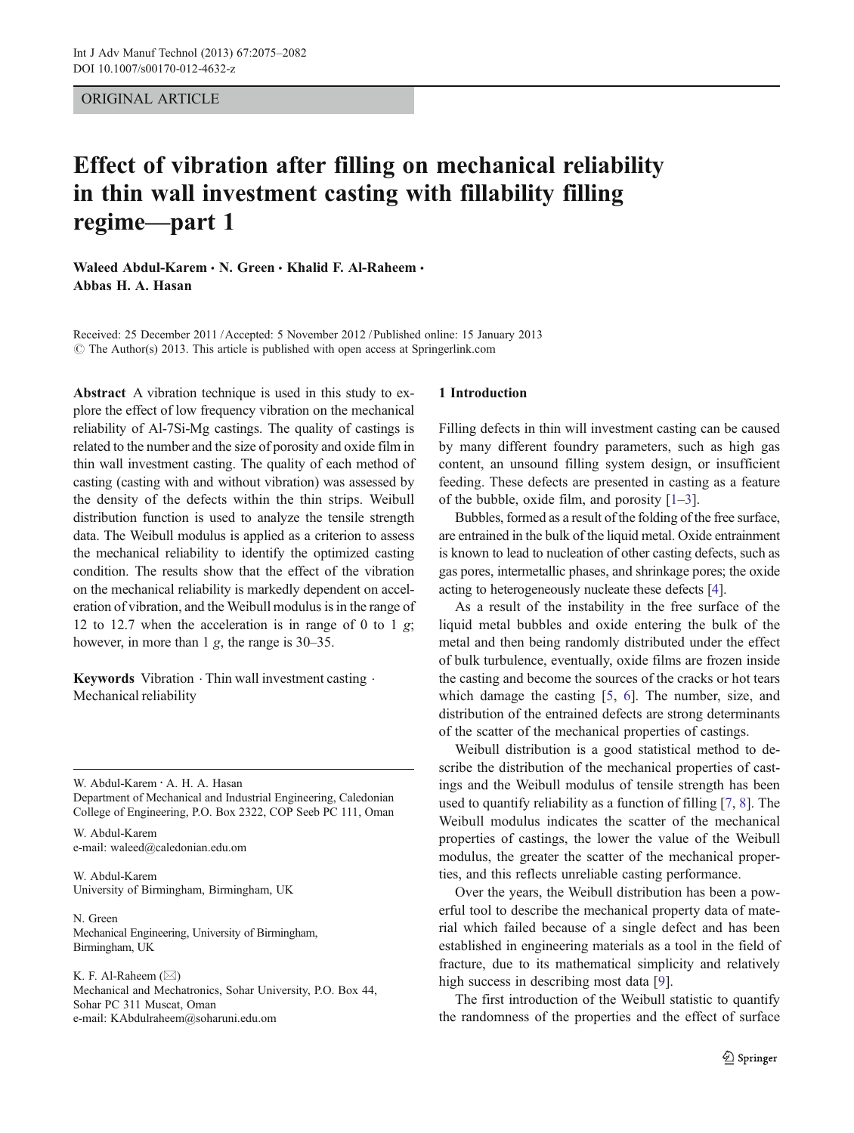# ORIGINAL ARTICLE

# Effect of vibration after filling on mechanical reliability in thin wall investment casting with fillability filling regime—part 1

Waleed Abdul-Karem  $\cdot$  N. Green  $\cdot$  Khalid F. Al-Raheem  $\cdot$ Abbas H. A. Hasan

Received: 25 December 2011 /Accepted: 5 November 2012 / Published online: 15 January 2013  $\odot$  The Author(s) 2013. This article is published with open access at Springerlink.com

Abstract A vibration technique is used in this study to explore the effect of low frequency vibration on the mechanical reliability of Al-7Si-Mg castings. The quality of castings is related to the number and the size of porosity and oxide film in thin wall investment casting. The quality of each method of casting (casting with and without vibration) was assessed by the density of the defects within the thin strips. Weibull distribution function is used to analyze the tensile strength data. The Weibull modulus is applied as a criterion to assess the mechanical reliability to identify the optimized casting condition. The results show that the effect of the vibration on the mechanical reliability is markedly dependent on acceleration of vibration, and the Weibull modulus is in the range of 12 to 12.7 when the acceleration is in range of 0 to 1  $\alpha$ ; however, in more than 1 g, the range is 30–35.

Keywords Vibration . Thin wall investment casting . Mechanical reliability

W. Abdul-Karem : A. H. A. Hasan Department of Mechanical and Industrial Engineering, Caledonian College of Engineering, P.O. Box 2322, COP Seeb PC 111, Oman

W. Abdul-Karem e-mail: waleed@caledonian.edu.om

W. Abdul-Karem University of Birmingham, Birmingham, UK

N. Green Mechanical Engineering, University of Birmingham, Birmingham, UK

K. F. Al-Raheem  $(\boxtimes)$ Mechanical and Mechatronics, Sohar University, P.O. Box 44, Sohar PC 311 Muscat, Oman e-mail: KAbdulraheem@soharuni.edu.om

## 1 Introduction

Filling defects in thin will investment casting can be caused by many different foundry parameters, such as high gas content, an unsound filling system design, or insufficient feeding. These defects are presented in casting as a feature of the bubble, oxide film, and porosity  $[1-3]$  $[1-3]$  $[1-3]$  $[1-3]$ .

Bubbles, formed as a result of the folding of the free surface, are entrained in the bulk of the liquid metal. Oxide entrainment is known to lead to nucleation of other casting defects, such as gas pores, intermetallic phases, and shrinkage pores; the oxide acting to heterogeneously nucleate these defects [[4](#page-7-0)].

As a result of the instability in the free surface of the liquid metal bubbles and oxide entering the bulk of the metal and then being randomly distributed under the effect of bulk turbulence, eventually, oxide films are frozen inside the casting and become the sources of the cracks or hot tears which damage the casting [[5](#page-7-0), [6](#page-7-0)]. The number, size, and distribution of the entrained defects are strong determinants of the scatter of the mechanical properties of castings.

Weibull distribution is a good statistical method to describe the distribution of the mechanical properties of castings and the Weibull modulus of tensile strength has been used to quantify reliability as a function of filling [[7,](#page-7-0) [8\]](#page-7-0). The Weibull modulus indicates the scatter of the mechanical properties of castings, the lower the value of the Weibull modulus, the greater the scatter of the mechanical properties, and this reflects unreliable casting performance.

Over the years, the Weibull distribution has been a powerful tool to describe the mechanical property data of material which failed because of a single defect and has been established in engineering materials as a tool in the field of fracture, due to its mathematical simplicity and relatively high success in describing most data [\[9](#page-7-0)].

The first introduction of the Weibull statistic to quantify the randomness of the properties and the effect of surface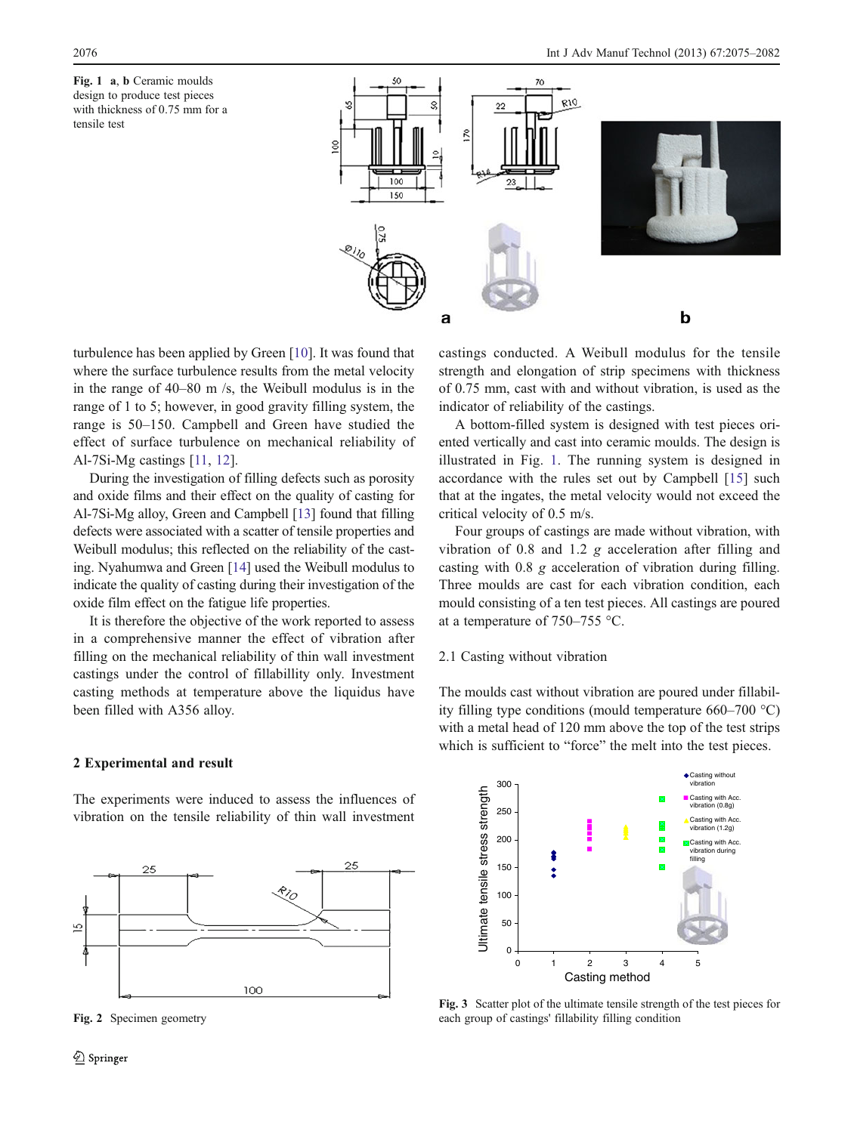<span id="page-1-0"></span>Fig. 1 a, b Ceramic moulds design to produce test pieces with thickness of 0.75 mm for a tensile test



turbulence has been applied by Green [[10\]](#page-7-0). It was found that where the surface turbulence results from the metal velocity in the range of 40–80 m /s, the Weibull modulus is in the range of 1 to 5; however, in good gravity filling system, the range is 50–150. Campbell and Green have studied the effect of surface turbulence on mechanical reliability of Al-7Si-Mg castings [\[11](#page-7-0), [12\]](#page-7-0).

During the investigation of filling defects such as porosity and oxide films and their effect on the quality of casting for Al-7Si-Mg alloy, Green and Campbell [\[13](#page-7-0)] found that filling defects were associated with a scatter of tensile properties and Weibull modulus; this reflected on the reliability of the casting. Nyahumwa and Green [\[14\]](#page-7-0) used the Weibull modulus to indicate the quality of casting during their investigation of the oxide film effect on the fatigue life properties.

It is therefore the objective of the work reported to assess in a comprehensive manner the effect of vibration after filling on the mechanical reliability of thin wall investment castings under the control of fillabillity only. Investment casting methods at temperature above the liquidus have been filled with A356 alloy.

# 2 Experimental and result

The experiments were induced to assess the influences of vibration on the tensile reliability of thin wall investment



Fig. 2 Specimen geometry

castings conducted. A Weibull modulus for the tensile strength and elongation of strip specimens with thickness of 0.75 mm, cast with and without vibration, is used as the indicator of reliability of the castings.

A bottom-filled system is designed with test pieces oriented vertically and cast into ceramic moulds. The design is illustrated in Fig. 1. The running system is designed in accordance with the rules set out by Campbell [[15\]](#page-7-0) such that at the ingates, the metal velocity would not exceed the critical velocity of 0.5 m/s.

Four groups of castings are made without vibration, with vibration of 0.8 and 1.2 g acceleration after filling and casting with 0.8 g acceleration of vibration during filling. Three moulds are cast for each vibration condition, each mould consisting of a ten test pieces. All castings are poured at a temperature of 750–755 °C.

# 2.1 Casting without vibration

The moulds cast without vibration are poured under fillability filling type conditions (mould temperature 660–700 °C) with a metal head of 120 mm above the top of the test strips which is sufficient to "force" the melt into the test pieces.



Fig. 3 Scatter plot of the ultimate tensile strength of the test pieces for each group of castings' fillability filling condition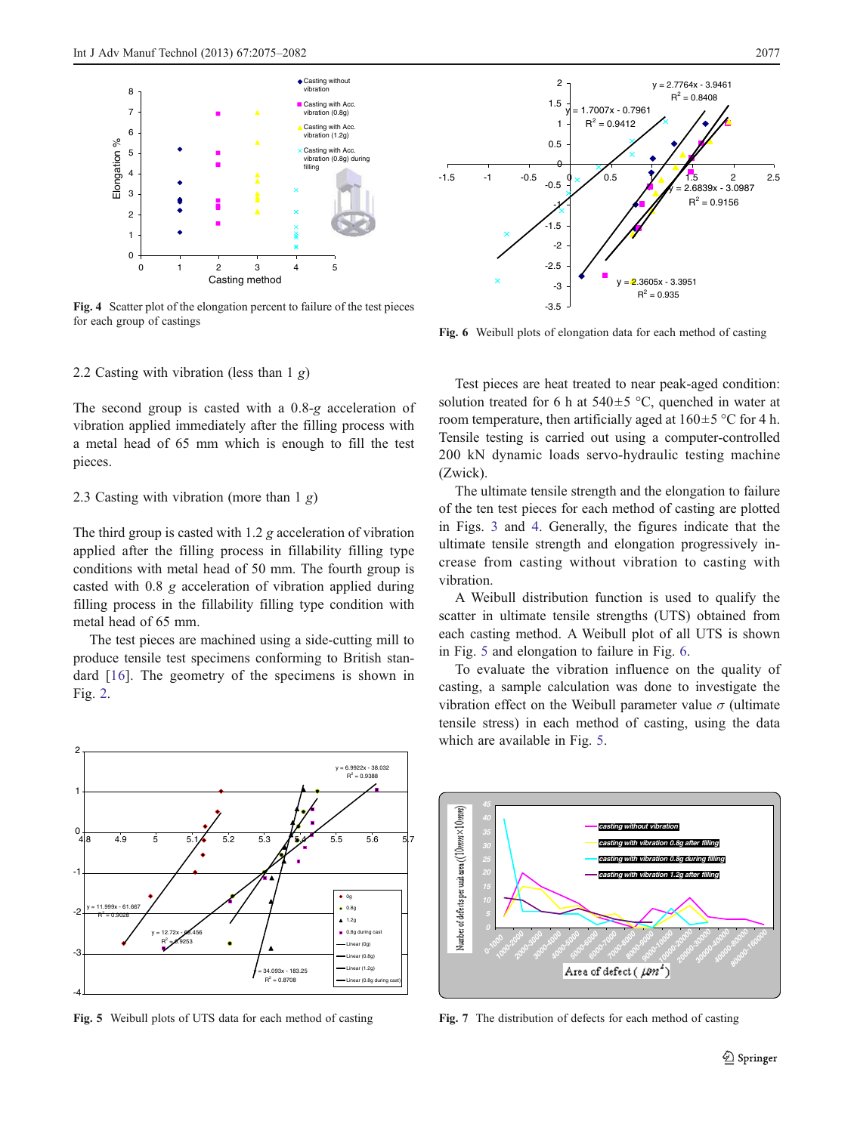<span id="page-2-0"></span>

Fig. 4 Scatter plot of the elongation percent to failure of the test pieces for each group of castings

## 2.2 Casting with vibration (less than 1 g)

The second group is casted with a 0.8-g acceleration of vibration applied immediately after the filling process with a metal head of 65 mm which is enough to fill the test pieces.

#### 2.3 Casting with vibration (more than 1 g)

The third group is casted with  $1.2$  g acceleration of vibration applied after the filling process in fillability filling type conditions with metal head of 50 mm. The fourth group is casted with 0.8 g acceleration of vibration applied during filling process in the fillability filling type condition with metal head of 65 mm.

The test pieces are machined using a side-cutting mill to produce tensile test specimens conforming to British standard [[16](#page-7-0)]. The geometry of the specimens is shown in Fig. [2.](#page-1-0)



Fig. 5 Weibull plots of UTS data for each method of casting



Fig. 6 Weibull plots of elongation data for each method of casting

Test pieces are heat treated to near peak-aged condition: solution treated for 6 h at  $540 \pm 5$  °C, quenched in water at room temperature, then artificially aged at  $160 \pm 5$  °C for 4 h. Tensile testing is carried out using a computer-controlled 200 kN dynamic loads servo-hydraulic testing machine (Zwick).

The ultimate tensile strength and the elongation to failure of the ten test pieces for each method of casting are plotted in Figs. [3](#page-1-0) and 4. Generally, the figures indicate that the ultimate tensile strength and elongation progressively increase from casting without vibration to casting with vibration.

A Weibull distribution function is used to qualify the scatter in ultimate tensile strengths (UTS) obtained from each casting method. A Weibull plot of all UTS is shown in Fig. 5 and elongation to failure in Fig. 6.

To evaluate the vibration influence on the quality of casting, a sample calculation was done to investigate the vibration effect on the Weibull parameter value  $\sigma$  (ultimate tensile stress) in each method of casting, using the data which are available in Fig. 5.



Fig. 7 The distribution of defects for each method of casting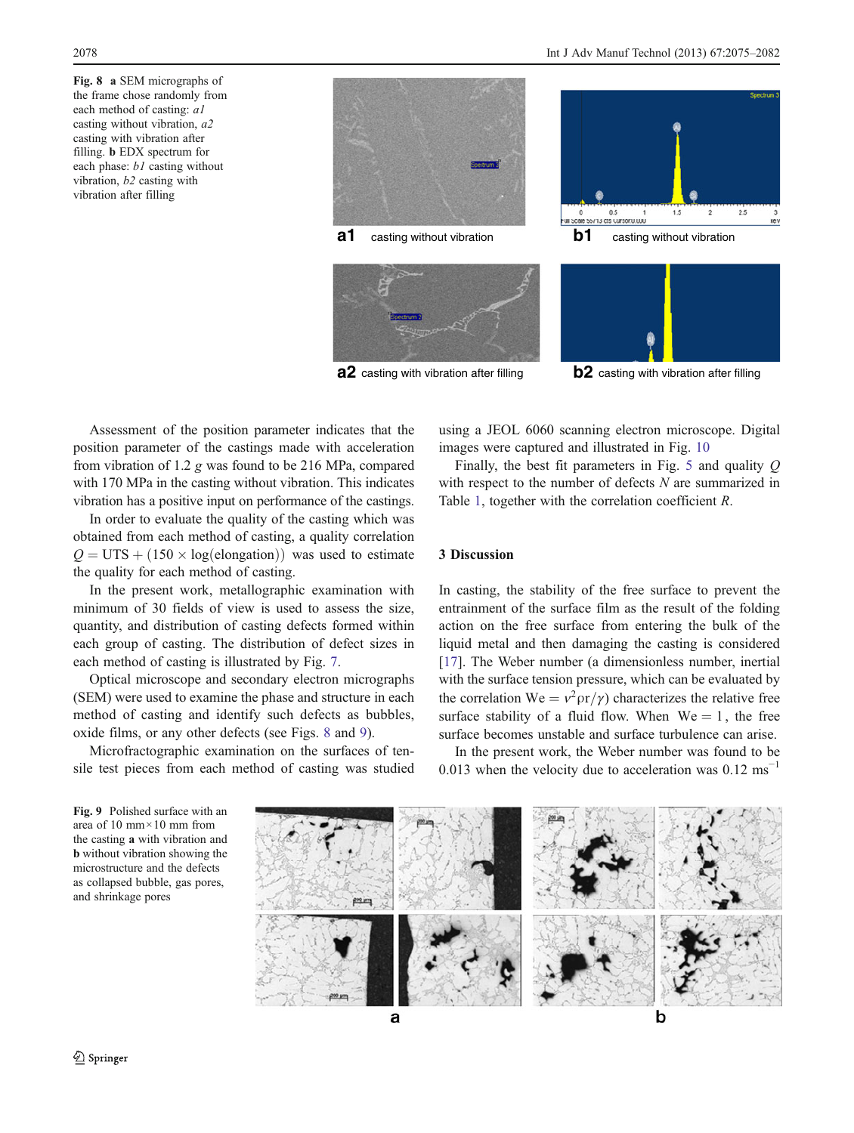<span id="page-3-0"></span>Fig. 8 a SEM micrographs of the frame chose randomly from each method of casting: a1 casting without vibration, a2 casting with vibration after filling. b EDX spectrum for each phase: b1 casting without vibration, b2 casting with vibration after filling



**a2** casting with vibration after filling



Assessment of the position parameter indicates that the position parameter of the castings made with acceleration from vibration of 1.2 g was found to be 216 MPa, compared with 170 MPa in the casting without vibration. This indicates vibration has a positive input on performance of the castings.

In order to evaluate the quality of the casting which was obtained from each method of casting, a quality correlation  $Q = UTS + (150 \times \log(\text{elongation}))$  was used to estimate the quality for each method of casting.

In the present work, metallographic examination with minimum of 30 fields of view is used to assess the size, quantity, and distribution of casting defects formed within each group of casting. The distribution of defect sizes in each method of casting is illustrated by Fig. [7.](#page-2-0)

Optical microscope and secondary electron micrographs (SEM) were used to examine the phase and structure in each method of casting and identify such defects as bubbles, oxide films, or any other defects (see Figs. 8 and 9).

Microfractographic examination on the surfaces of tensile test pieces from each method of casting was studied

using a JEOL 6060 scanning electron microscope. Digital images were captured and illustrated in Fig. [10](#page-4-0)

Finally, the best fit parameters in Fig.  $5$  and quality  $Q$ with respect to the number of defects N are summarized in Table [1,](#page-4-0) together with the correlation coefficient R.

## 3 Discussion

In casting, the stability of the free surface to prevent the entrainment of the surface film as the result of the folding action on the free surface from entering the bulk of the liquid metal and then damaging the casting is considered [\[17](#page-7-0)]. The Weber number (a dimensionless number, inertial with the surface tension pressure, which can be evaluated by the correlation We =  $v^2$  or  $/\gamma$ ) characterizes the relative free surface stability of a fluid flow. When  $We = 1$ , the free surface becomes unstable and surface turbulence can arise.

In the present work, the Weber number was found to be 0.013 when the velocity due to acceleration was  $0.12 \text{ ms}^{-1}$ 

Fig. 9 Polished surface with an area of 10 mm×10 mm from the casting a with vibration and b without vibration showing the microstructure and the defects as collapsed bubble, gas pores, and shrinkage pores



b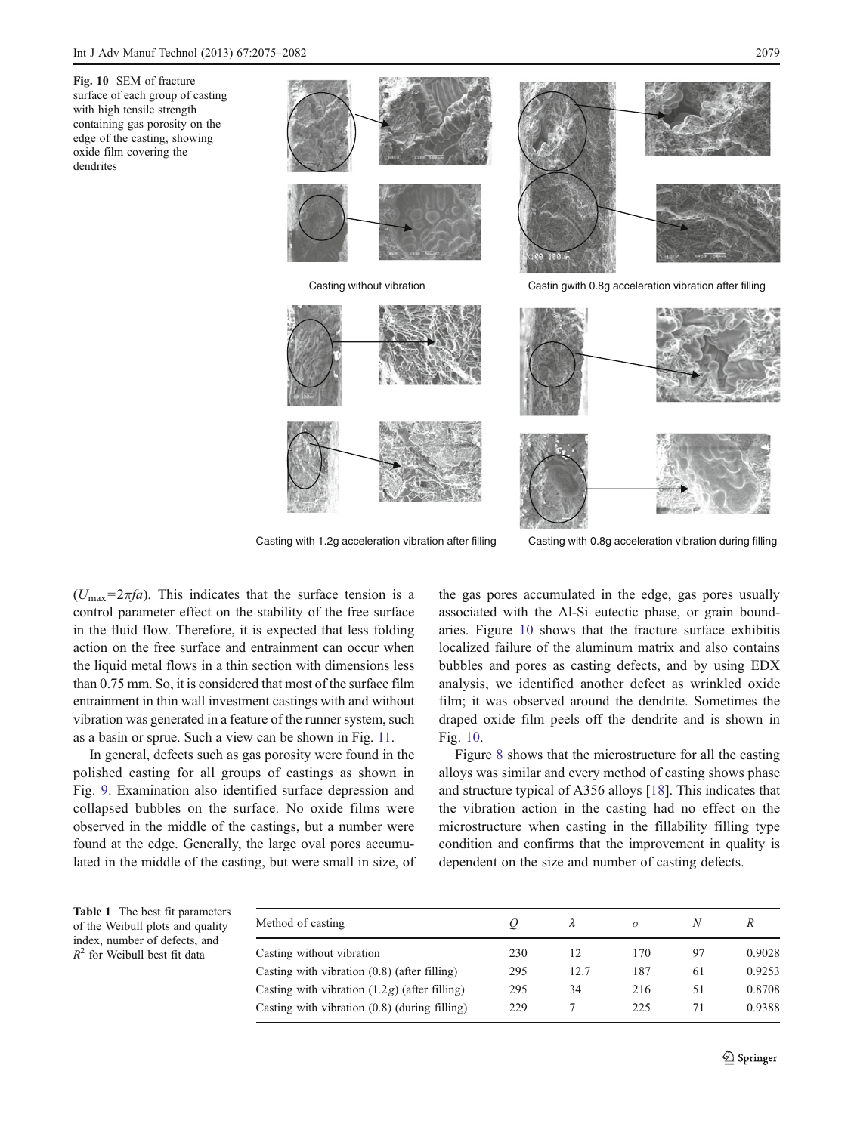<span id="page-4-0"></span>Fig. 10 SEM of fracture surface of each group of casting with high tensile strength containing gas porosity on the edge of the casting, showing oxide film covering the dendrites



Casting with 1.2g acceleration vibration after filling Casting with 0.8g acceleration vibration during filling

 $(U_{\text{max}}=2\pi f a)$ . This indicates that the surface tension is a control parameter effect on the stability of the free surface in the fluid flow. Therefore, it is expected that less folding action on the free surface and entrainment can occur when the liquid metal flows in a thin section with dimensions less than 0.75 mm. So, it is considered that most of the surface film entrainment in thin wall investment castings with and without vibration was generated in a feature of the runner system, such as a basin or sprue. Such a view can be shown in Fig. [11.](#page-5-0)

In general, defects such as gas porosity were found in the polished casting for all groups of castings as shown in Fig. [9](#page-3-0). Examination also identified surface depression and collapsed bubbles on the surface. No oxide films were observed in the middle of the castings, but a number were found at the edge. Generally, the large oval pores accumulated in the middle of the casting, but were small in size, of the gas pores accumulated in the edge, gas pores usually associated with the Al-Si eutectic phase, or grain boundaries. Figure 10 shows that the fracture surface exhibitis localized failure of the aluminum matrix and also contains bubbles and pores as casting defects, and by using EDX analysis, we identified another defect as wrinkled oxide film; it was observed around the dendrite. Sometimes the draped oxide film peels off the dendrite and is shown in Fig. 10.

Figure [8](#page-3-0) shows that the microstructure for all the casting alloys was similar and every method of casting shows phase and structure typical of A356 alloys [[18\]](#page-7-0). This indicates that the vibration action in the casting had no effect on the microstructure when casting in the fillability filling type condition and confirms that the improvement in quality is dependent on the size and number of casting defects.

Table 1 The best fit parameters of the Weibull plots and quality index, number of defects, and  $R^2$  for Weibull best fit data

| Method of casting                               | U   |      | $\sigma$ | N  |        |
|-------------------------------------------------|-----|------|----------|----|--------|
| Casting without vibration                       | 230 | 12   | 170      | 97 | 0.9028 |
| Casting with vibration $(0.8)$ (after filling)  | 295 | 12.7 | 187      | 61 | 0.9253 |
| Casting with vibration $(1.2g)$ (after filling) | 295 | 34   | 216      | 51 | 0.8708 |
| Casting with vibration $(0.8)$ (during filling) | 229 |      | 225      | 71 | 0.9388 |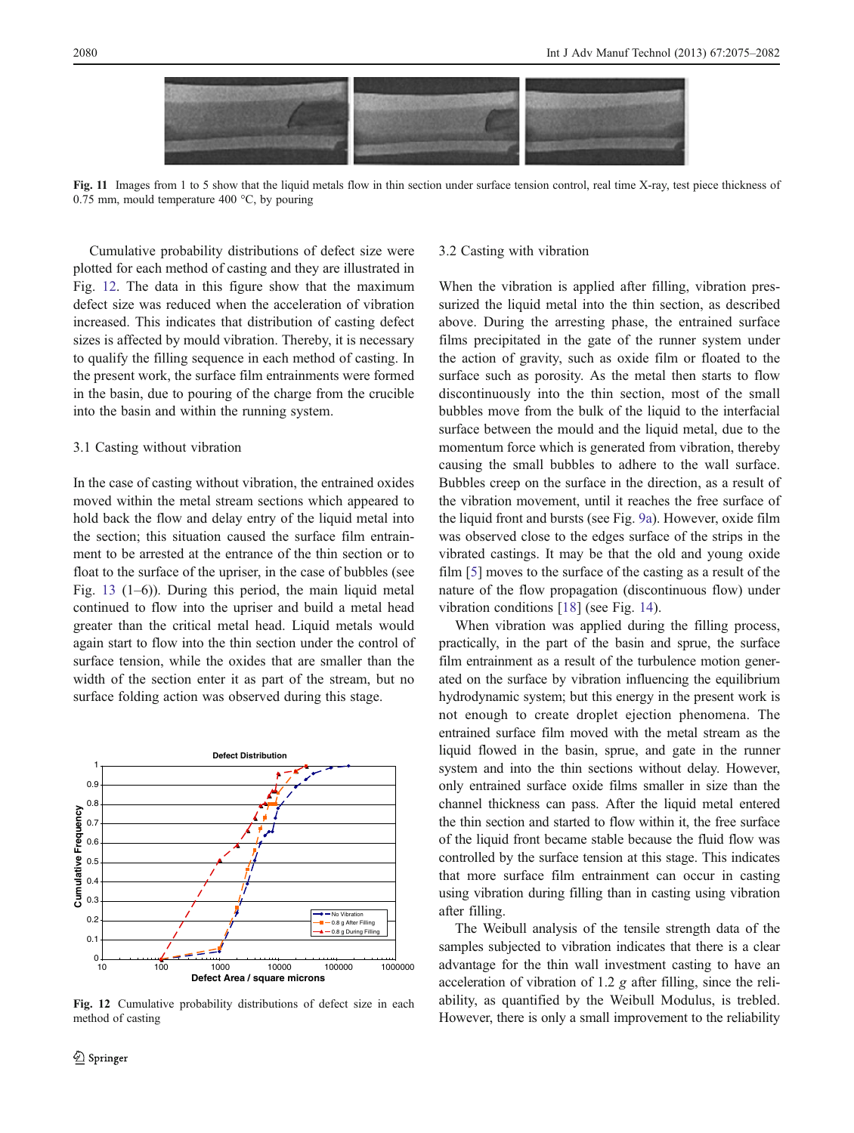<span id="page-5-0"></span>

Fig. 11 Images from 1 to 5 show that the liquid metals flow in thin section under surface tension control, real time X-ray, test piece thickness of 0.75 mm, mould temperature 400 °C, by pouring

Cumulative probability distributions of defect size were plotted for each method of casting and they are illustrated in Fig. 12. The data in this figure show that the maximum defect size was reduced when the acceleration of vibration increased. This indicates that distribution of casting defect sizes is affected by mould vibration. Thereby, it is necessary to qualify the filling sequence in each method of casting. In the present work, the surface film entrainments were formed in the basin, due to pouring of the charge from the crucible into the basin and within the running system.

## 3.1 Casting without vibration

In the case of casting without vibration, the entrained oxides moved within the metal stream sections which appeared to hold back the flow and delay entry of the liquid metal into the section; this situation caused the surface film entrainment to be arrested at the entrance of the thin section or to float to the surface of the upriser, in the case of bubbles (see Fig. [13](#page-6-0) (1–6)). During this period, the main liquid metal continued to flow into the upriser and build a metal head greater than the critical metal head. Liquid metals would again start to flow into the thin section under the control of surface tension, while the oxides that are smaller than the width of the section enter it as part of the stream, but no surface folding action was observed during this stage.



Fig. 12 Cumulative probability distributions of defect size in each method of casting

### 3.2 Casting with vibration

When the vibration is applied after filling, vibration pressurized the liquid metal into the thin section, as described above. During the arresting phase, the entrained surface films precipitated in the gate of the runner system under the action of gravity, such as oxide film or floated to the surface such as porosity. As the metal then starts to flow discontinuously into the thin section, most of the small bubbles move from the bulk of the liquid to the interfacial surface between the mould and the liquid metal, due to the momentum force which is generated from vibration, thereby causing the small bubbles to adhere to the wall surface. Bubbles creep on the surface in the direction, as a result of the vibration movement, until it reaches the free surface of the liquid front and bursts (see Fig. [9a\)](#page-3-0). However, oxide film was observed close to the edges surface of the strips in the vibrated castings. It may be that the old and young oxide film [\[5](#page-7-0)] moves to the surface of the casting as a result of the nature of the flow propagation (discontinuous flow) under vibration conditions [\[18](#page-7-0)] (see Fig. [14\)](#page-6-0).

When vibration was applied during the filling process, practically, in the part of the basin and sprue, the surface film entrainment as a result of the turbulence motion generated on the surface by vibration influencing the equilibrium hydrodynamic system; but this energy in the present work is not enough to create droplet ejection phenomena. The entrained surface film moved with the metal stream as the liquid flowed in the basin, sprue, and gate in the runner system and into the thin sections without delay. However, only entrained surface oxide films smaller in size than the channel thickness can pass. After the liquid metal entered the thin section and started to flow within it, the free surface of the liquid front became stable because the fluid flow was controlled by the surface tension at this stage. This indicates that more surface film entrainment can occur in casting using vibration during filling than in casting using vibration after filling.

The Weibull analysis of the tensile strength data of the samples subjected to vibration indicates that there is a clear advantage for the thin wall investment casting to have an acceleration of vibration of 1.2 g after filling, since the reliability, as quantified by the Weibull Modulus, is trebled. However, there is only a small improvement to the reliability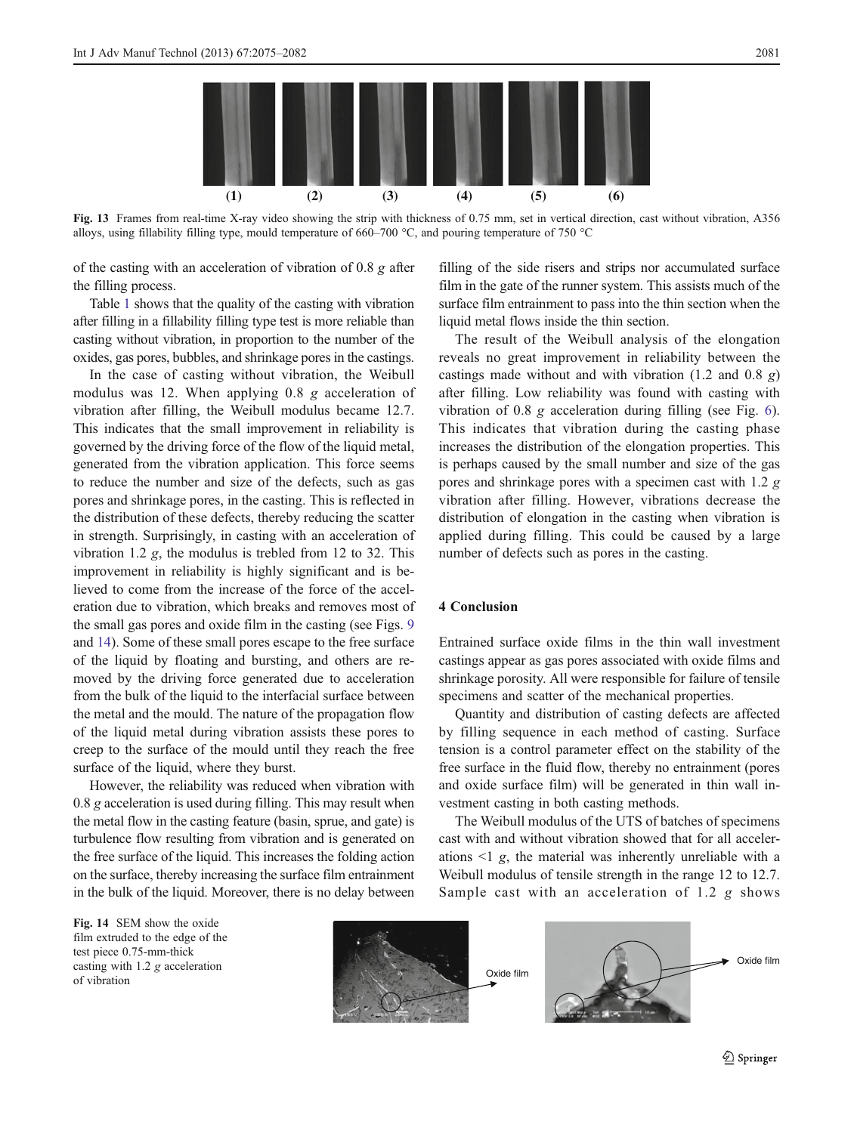<span id="page-6-0"></span>

Fig. 13 Frames from real-time X-ray video showing the strip with thickness of 0.75 mm, set in vertical direction, cast without vibration, A356 alloys, using fillability filling type, mould temperature of 660–700 °C, and pouring temperature of 750 °C

of the casting with an acceleration of vibration of 0.8 g after the filling process.

Table [1](#page-4-0) shows that the quality of the casting with vibration after filling in a fillability filling type test is more reliable than casting without vibration, in proportion to the number of the oxides, gas pores, bubbles, and shrinkage pores in the castings.

In the case of casting without vibration, the Weibull modulus was 12. When applying 0.8 g acceleration of vibration after filling, the Weibull modulus became 12.7. This indicates that the small improvement in reliability is governed by the driving force of the flow of the liquid metal, generated from the vibration application. This force seems to reduce the number and size of the defects, such as gas pores and shrinkage pores, in the casting. This is reflected in the distribution of these defects, thereby reducing the scatter in strength. Surprisingly, in casting with an acceleration of vibration 1.2 g, the modulus is trebled from 12 to 32. This improvement in reliability is highly significant and is believed to come from the increase of the force of the acceleration due to vibration, which breaks and removes most of the small gas pores and oxide film in the casting (see Figs. [9](#page-3-0) and 14). Some of these small pores escape to the free surface of the liquid by floating and bursting, and others are removed by the driving force generated due to acceleration from the bulk of the liquid to the interfacial surface between the metal and the mould. The nature of the propagation flow of the liquid metal during vibration assists these pores to creep to the surface of the mould until they reach the free surface of the liquid, where they burst.

However, the reliability was reduced when vibration with 0.8 g acceleration is used during filling. This may result when the metal flow in the casting feature (basin, sprue, and gate) is turbulence flow resulting from vibration and is generated on the free surface of the liquid. This increases the folding action on the surface, thereby increasing the surface film entrainment in the bulk of the liquid. Moreover, there is no delay between

Fig. 14 SEM show the oxide film extruded to the edge of the test piece 0.75-mm-thick casting with 1.2 g acceleration of vibration

filling of the side risers and strips nor accumulated surface film in the gate of the runner system. This assists much of the surface film entrainment to pass into the thin section when the liquid metal flows inside the thin section.

The result of the Weibull analysis of the elongation reveals no great improvement in reliability between the castings made without and with vibration  $(1.2 \text{ and } 0.8 \text{ g})$ after filling. Low reliability was found with casting with vibration of 0.8 g acceleration during filling (see Fig. [6\)](#page-2-0). This indicates that vibration during the casting phase increases the distribution of the elongation properties. This is perhaps caused by the small number and size of the gas pores and shrinkage pores with a specimen cast with 1.2 g vibration after filling. However, vibrations decrease the distribution of elongation in the casting when vibration is applied during filling. This could be caused by a large number of defects such as pores in the casting.

## 4 Conclusion

Entrained surface oxide films in the thin wall investment castings appear as gas pores associated with oxide films and shrinkage porosity. All were responsible for failure of tensile specimens and scatter of the mechanical properties.

Quantity and distribution of casting defects are affected by filling sequence in each method of casting. Surface tension is a control parameter effect on the stability of the free surface in the fluid flow, thereby no entrainment (pores and oxide surface film) will be generated in thin wall investment casting in both casting methods.

The Weibull modulus of the UTS of batches of specimens cast with and without vibration showed that for all accelerations  $\leq 1$  g, the material was inherently unreliable with a Weibull modulus of tensile strength in the range 12 to 12.7. Sample cast with an acceleration of 1.2 g shows